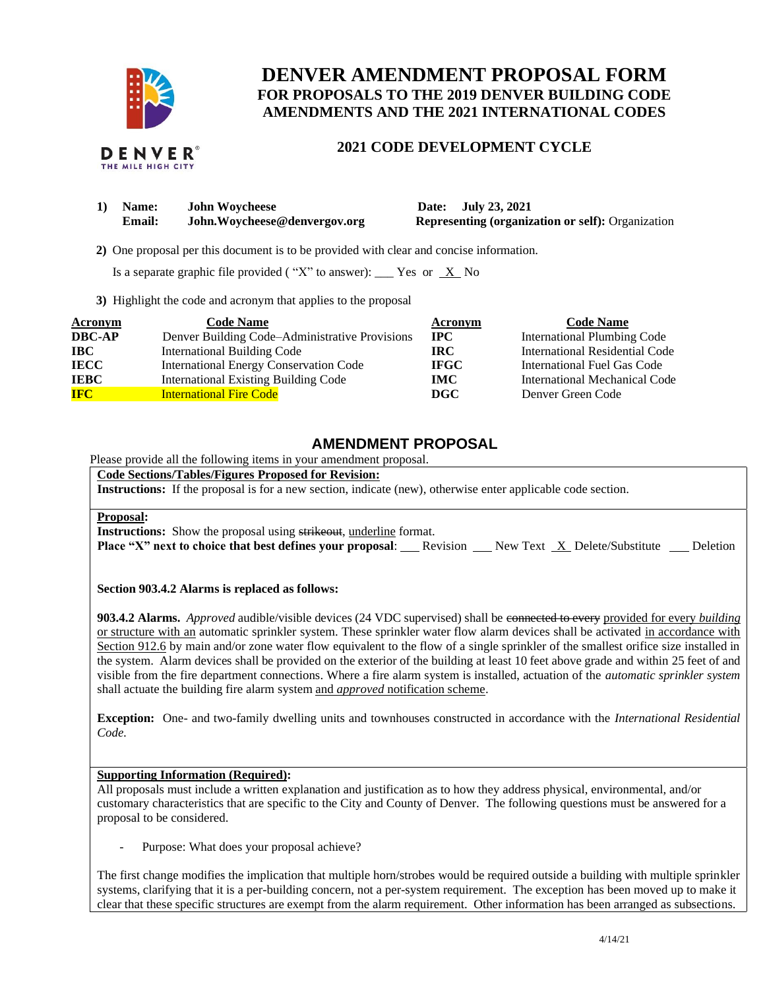

# **DENVER AMENDMENT PROPOSAL FORM FOR PROPOSALS TO THE 2019 DENVER BUILDING CODE AMENDMENTS AND THE 2021 INTERNATIONAL CODES**

## **2021 CODE DEVELOPMENT CYCLE**

| 1) | <b>Name:</b> | <b>John Woycheese</b>         |
|----|--------------|-------------------------------|
|    | Email:       | John. Wovcheese@denvergov.org |

**1) Date: July 23, 2021 Representing (organization or self):** Organization

 **2)** One proposal per this document is to be provided with clear and concise information.

Is a separate graphic file provided ("X" to answer): \_\_\_ Yes or  $X$  No

**3)** Highlight the code and acronym that applies to the proposal

| <b>Acronym</b> | <b>Code Name</b>                               | Acronym     | <b>Code Name</b>                   |
|----------------|------------------------------------------------|-------------|------------------------------------|
| <b>DBC-AP</b>  | Denver Building Code–Administrative Provisions | $\bf IPC$   | <b>International Plumbing Code</b> |
| <b>IBC</b>     | <b>International Building Code</b>             | <b>IRC</b>  | International Residential Code     |
| <b>IECC</b>    | International Energy Conservation Code         | <b>IFGC</b> | International Fuel Gas Code        |
| <b>IEBC</b>    | <b>International Existing Building Code</b>    | <b>IMC</b>  | International Mechanical Code      |
| <b>IFC</b>     | <b>International Fire Code</b>                 | DGC         | Denver Green Code                  |

# **AMENDMENT PROPOSAL**

Please provide all the following items in your amendment proposal.

**Code Sections/Tables/Figures Proposed for Revision:**

**Instructions:** If the proposal is for a new section, indicate (new), otherwise enter applicable code section.

#### **Proposal:**

**Instructions:** Show the proposal using strikeout, underline format.

**Place "X" next to choice that best defines your proposal:** Revision Rew Text X Delete/Substitute Deletion

### **Section 903.4.2 Alarms is replaced as follows:**

**903.4.2 Alarms.** *Approved* audible/visible devices (24 VDC supervised) shall be connected to every provided for every *building* or structure with an automatic sprinkler system. These sprinkler water flow alarm devices shall be activated in accordance with Section 912.6 by main and/or zone water flow equivalent to the flow of a single sprinkler of the smallest orifice size installed in the system. Alarm devices shall be provided on the exterior of the building at least 10 feet above grade and within 25 feet of and visible from the fire department connections. Where a fire alarm system is installed, actuation of the *automatic sprinkler system* shall actuate the building fire alarm system and *approved* notification scheme.

**Exception:** One- and two-family dwelling units and townhouses constructed in accordance with the *International Residential Code.*

#### **Supporting Information (Required):**

All proposals must include a written explanation and justification as to how they address physical, environmental, and/or customary characteristics that are specific to the City and County of Denver. The following questions must be answered for a proposal to be considered.

Purpose: What does your proposal achieve?

The first change modifies the implication that multiple horn/strobes would be required outside a building with multiple sprinkler systems, clarifying that it is a per-building concern, not a per-system requirement. The exception has been moved up to make it clear that these specific structures are exempt from the alarm requirement. Other information has been arranged as subsections.